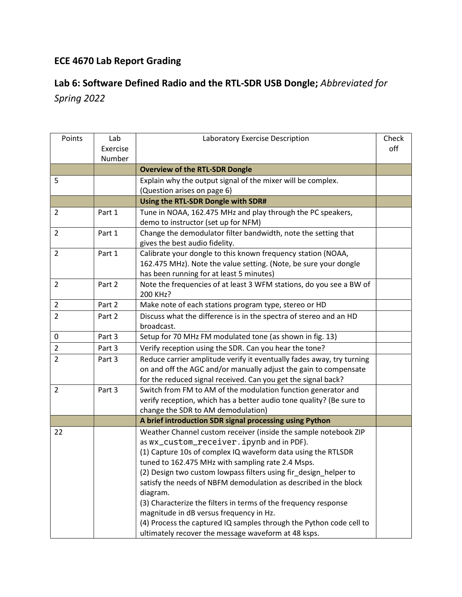## ECE 4670 Lab Report Grading

## Lab 6: Software Defined Radio and the RTL-SDR USB Dongle; Abbreviated for

Spring 2022

| Points         | Lab      | Laboratory Exercise Description                                       | Check |
|----------------|----------|-----------------------------------------------------------------------|-------|
|                | Exercise |                                                                       | off   |
|                | Number   |                                                                       |       |
|                |          | <b>Overview of the RTL-SDR Dongle</b>                                 |       |
| 5              |          | Explain why the output signal of the mixer will be complex.           |       |
|                |          | (Question arises on page 6)                                           |       |
|                |          | Using the RTL-SDR Dongle with SDR#                                    |       |
| $\overline{2}$ | Part 1   | Tune in NOAA, 162.475 MHz and play through the PC speakers,           |       |
|                |          | demo to instructor (set up for NFM)                                   |       |
| $\overline{2}$ | Part 1   | Change the demodulator filter bandwidth, note the setting that        |       |
|                |          | gives the best audio fidelity.                                        |       |
| $\overline{2}$ | Part 1   | Calibrate your dongle to this known frequency station (NOAA,          |       |
|                |          | 162.475 MHz). Note the value setting. (Note, be sure your dongle      |       |
|                |          | has been running for at least 5 minutes)                              |       |
| $\overline{2}$ | Part 2   | Note the frequencies of at least 3 WFM stations, do you see a BW of   |       |
|                |          | 200 KHz?                                                              |       |
| $\overline{2}$ | Part 2   | Make note of each stations program type, stereo or HD                 |       |
| $\overline{2}$ | Part 2   | Discuss what the difference is in the spectra of stereo and an HD     |       |
|                |          | broadcast.                                                            |       |
| $\pmb{0}$      | Part 3   | Setup for 70 MHz FM modulated tone (as shown in fig. 13)              |       |
| $\overline{2}$ | Part 3   | Verify reception using the SDR. Can you hear the tone?                |       |
| $\overline{2}$ | Part 3   | Reduce carrier amplitude verify it eventually fades away, try turning |       |
|                |          | on and off the AGC and/or manually adjust the gain to compensate      |       |
|                |          | for the reduced signal received. Can you get the signal back?         |       |
| $\overline{2}$ | Part 3   | Switch from FM to AM of the modulation function generator and         |       |
|                |          | verify reception, which has a better audio tone quality? (Be sure to  |       |
|                |          | change the SDR to AM demodulation)                                    |       |
|                |          | A brief introduction SDR signal processing using Python               |       |
| 22             |          | Weather Channel custom receiver (inside the sample notebook ZIP       |       |
|                |          | as wx_custom_receiver.ipynb and in PDF).                              |       |
|                |          | (1) Capture 10s of complex IQ waveform data using the RTLSDR          |       |
|                |          | tuned to 162.475 MHz with sampling rate 2.4 Msps.                     |       |
|                |          | (2) Design two custom lowpass filters using fir_design_helper to      |       |
|                |          | satisfy the needs of NBFM demodulation as described in the block      |       |
|                |          | diagram.                                                              |       |
|                |          | (3) Characterize the filters in terms of the frequency response       |       |
|                |          | magnitude in dB versus frequency in Hz.                               |       |
|                |          | (4) Process the captured IQ samples through the Python code cell to   |       |
|                |          | ultimately recover the message waveform at 48 ksps.                   |       |